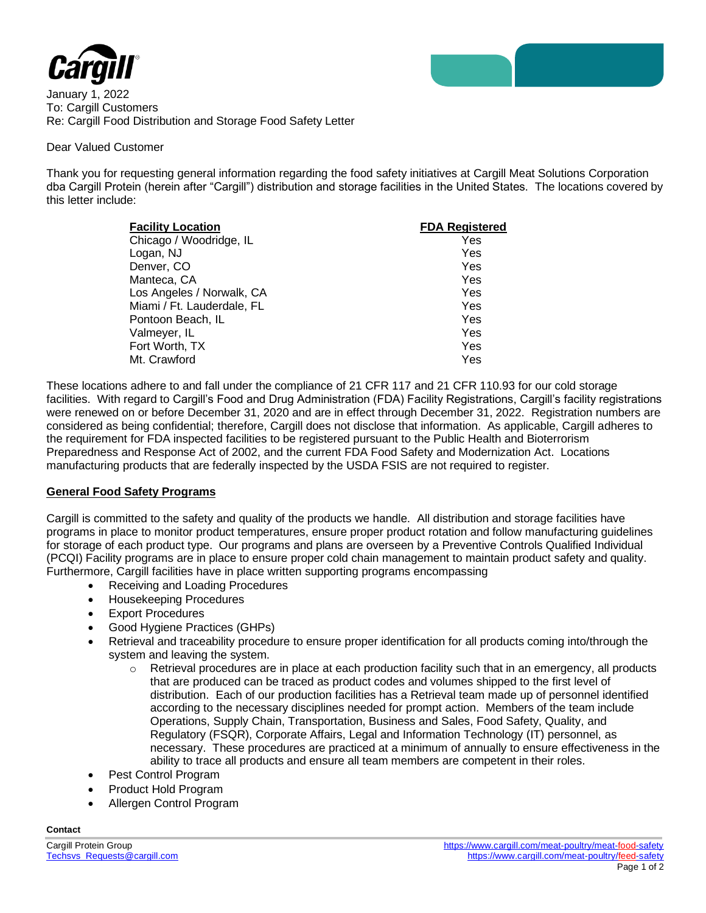

January 1, 2022 To: Cargill Customers Re: Cargill Food Distribution and Storage Food Safety Letter

## Dear Valued Customer

Thank you for requesting general information regarding the food safety initiatives at Cargill Meat Solutions Corporation dba Cargill Protein (herein after "Cargill") distribution and storage facilities in the United States. The locations covered by this letter include:

| <b>Facility Location</b>   | <b>FDA Registered</b> |
|----------------------------|-----------------------|
| Chicago / Woodridge, IL    | Yes                   |
| Logan, NJ                  | Yes                   |
| Denver, CO                 | Yes                   |
| Manteca, CA                | Yes                   |
| Los Angeles / Norwalk, CA  | Yes                   |
| Miami / Ft. Lauderdale, FL | Yes                   |
| Pontoon Beach, IL          | Yes                   |
| Valmeyer, IL               | Yes                   |
| Fort Worth, TX             | Yes                   |
| Mt. Crawford               | Yes                   |

These locations adhere to and fall under the compliance of 21 CFR 117 and 21 CFR 110.93 for our cold storage facilities. With regard to Cargill's Food and Drug Administration (FDA) Facility Registrations, Cargill's facility registrations were renewed on or before December 31, 2020 and are in effect through December 31, 2022. Registration numbers are considered as being confidential; therefore, Cargill does not disclose that information. As applicable, Cargill adheres to the requirement for FDA inspected facilities to be registered pursuant to the Public Health and Bioterrorism Preparedness and Response Act of 2002, and the current FDA Food Safety and Modernization Act. Locations manufacturing products that are federally inspected by the USDA FSIS are not required to register.

## **General Food Safety Programs**

Cargill is committed to the safety and quality of the products we handle. All distribution and storage facilities have programs in place to monitor product temperatures, ensure proper product rotation and follow manufacturing guidelines for storage of each product type. Our programs and plans are overseen by a Preventive Controls Qualified Individual (PCQI) Facility programs are in place to ensure proper cold chain management to maintain product safety and quality. Furthermore, Cargill facilities have in place written supporting programs encompassing

- Receiving and Loading Procedures
- Housekeeping Procedures
- Export Procedures
- Good Hygiene Practices (GHPs)
- Retrieval and traceability procedure to ensure proper identification for all products coming into/through the system and leaving the system.
	- o Retrieval procedures are in place at each production facility such that in an emergency, all products that are produced can be traced as product codes and volumes shipped to the first level of distribution. Each of our production facilities has a Retrieval team made up of personnel identified according to the necessary disciplines needed for prompt action. Members of the team include Operations, Supply Chain, Transportation, Business and Sales, Food Safety, Quality, and Regulatory (FSQR), Corporate Affairs, Legal and Information Technology (IT) personnel, as necessary. These procedures are practiced at a minimum of annually to ensure effectiveness in the ability to trace all products and ensure all team members are competent in their roles.
- Pest Control Program
- Product Hold Program
- Allergen Control Program

## **Contact**